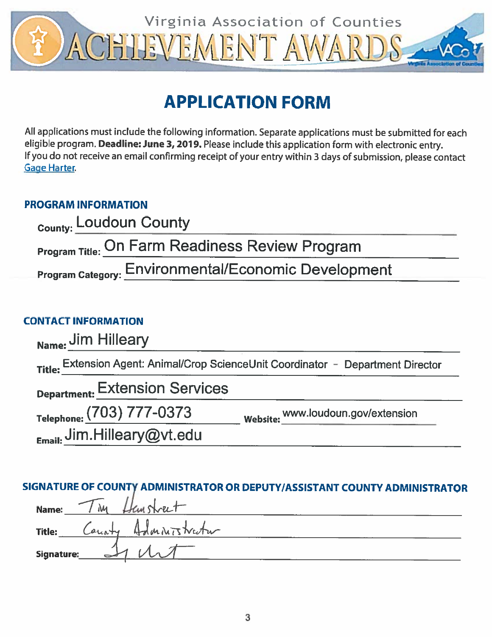

# **APPLICATION FORM**

All applications must include the following information. Separate applications must be submitted for each eligible program. Deadline: June 3, 2019. Please include this application form with electronic entry. If you do not receive an email confirming receipt of your entry within 3 days of submission, please contact **Gage Harter.** 

## **PROGRAM INFORMATION**

| <sub>County:</sub> Loudoun County                           |  |
|-------------------------------------------------------------|--|
| <b>Program Title: On Farm Readiness Review Program</b>      |  |
| <b>Program Category: Environmental/Economic Development</b> |  |

# **CONTACT INFORMATION**

| Name: Jim Hilleary                        |                                                                                   |
|-------------------------------------------|-----------------------------------------------------------------------------------|
|                                           | Title: Extension Agent: Animal/Crop ScienceUnit Coordinator - Department Director |
| <b>Department: Extension Services</b>     |                                                                                   |
| Telephone: (703) 777-0373                 | Website: www.loudoun.gov/extension                                                |
| $_{E_{\text{mail:}}}$ Jim.Hilleary@vt.edu |                                                                                   |

## SIGNATURE OF COUNTY ADMINISTRATOR OR DEPUTY/ASSISTANT COUNTY ADMINISTRATOR

| Name:      | : Thy Hansheet        |  |
|------------|-----------------------|--|
| Title:     | County Admitistration |  |
| Signature: |                       |  |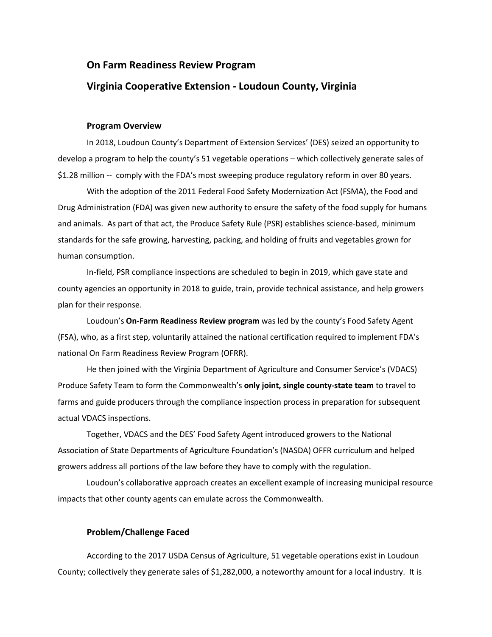# **On Farm Readiness Review Program**

## **Virginia Cooperative Extension - Loudoun County, Virginia**

### **Program Overview**

In 2018, Loudoun County's Department of Extension Services' (DES) seized an opportunity to develop a program to help the county's 51 vegetable operations – which collectively generate sales of \$1.28 million -- comply with the FDA's most sweeping produce regulatory reform in over 80 years.

With the adoption of the 2011 Federal Food Safety Modernization Act (FSMA), the Food and Drug Administration (FDA) was given new authority to ensure the safety of the food supply for humans and animals. As part of that act, the Produce Safety Rule (PSR) establishes science-based, minimum standards for the safe growing, harvesting, packing, and holding of fruits and vegetables grown for human consumption.

In-field, PSR compliance inspections are scheduled to begin in 2019, which gave state and county agencies an opportunity in 2018 to guide, train, provide technical assistance, and help growers plan for their response.

Loudoun's **On-Farm Readiness Review program** was led by the county's Food Safety Agent (FSA), who, as a first step, voluntarily attained the national certification required to implement FDA's national On Farm Readiness Review Program (OFRR).

He then joined with the Virginia Department of Agriculture and Consumer Service's (VDACS) Produce Safety Team to form the Commonwealth's **only joint, single county-state team** to travel to farms and guide producers through the compliance inspection process in preparation for subsequent actual VDACS inspections.

Together, VDACS and the DES' Food Safety Agent introduced growers to the National Association of State Departments of Agriculture Foundation's (NASDA) OFFR curriculum and helped growers address all portions of the law before they have to comply with the regulation.

Loudoun's collaborative approach creates an excellent example of increasing municipal resource impacts that other county agents can emulate across the Commonwealth.

## **Problem/Challenge Faced**

According to the 2017 USDA Census of Agriculture, 51 vegetable operations exist in Loudoun County; collectively they generate sales of \$1,282,000, a noteworthy amount for a local industry. It is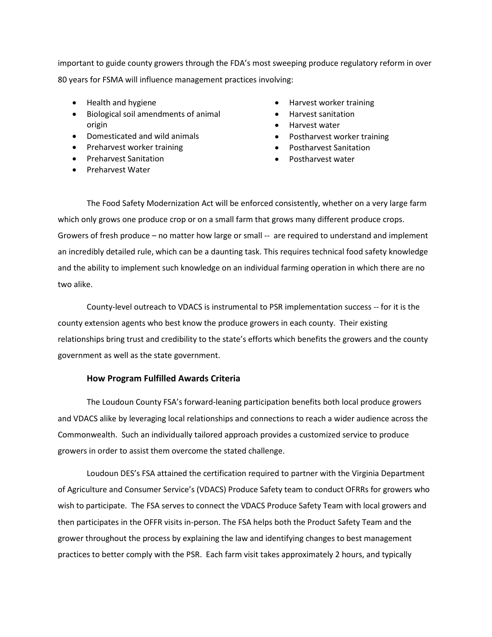important to guide county growers through the FDA's most sweeping produce regulatory reform in over 80 years for FSMA will influence management practices involving:

- Health and hygiene
- Biological soil amendments of animal origin
- Domesticated and wild animals
- Preharvest worker training
- Preharvest Sanitation
- Preharvest Water
- Harvest worker training
- Harvest sanitation
- Harvest water
- Postharvest worker training
- Postharvest Sanitation
- Postharvest water

The Food Safety Modernization Act will be enforced consistently, whether on a very large farm which only grows one produce crop or on a small farm that grows many different produce crops. Growers of fresh produce – no matter how large or small -- are required to understand and implement an incredibly detailed rule, which can be a daunting task. This requires technical food safety knowledge and the ability to implement such knowledge on an individual farming operation in which there are no two alike.

County-level outreach to VDACS is instrumental to PSR implementation success -- for it is the county extension agents who best know the produce growers in each county. Their existing relationships bring trust and credibility to the state's efforts which benefits the growers and the county government as well as the state government.

### **How Program Fulfilled Awards Criteria**

The Loudoun County FSA's forward-leaning participation benefits both local produce growers and VDACS alike by leveraging local relationships and connections to reach a wider audience across the Commonwealth. Such an individually tailored approach provides a customized service to produce growers in order to assist them overcome the stated challenge.

Loudoun DES's FSA attained the certification required to partner with the Virginia Department of Agriculture and Consumer Service's (VDACS) Produce Safety team to conduct OFRRs for growers who wish to participate. The FSA serves to connect the VDACS Produce Safety Team with local growers and then participates in the OFFR visits in-person. The FSA helps both the Product Safety Team and the grower throughout the process by explaining the law and identifying changes to best management practices to better comply with the PSR. Each farm visit takes approximately 2 hours, and typically